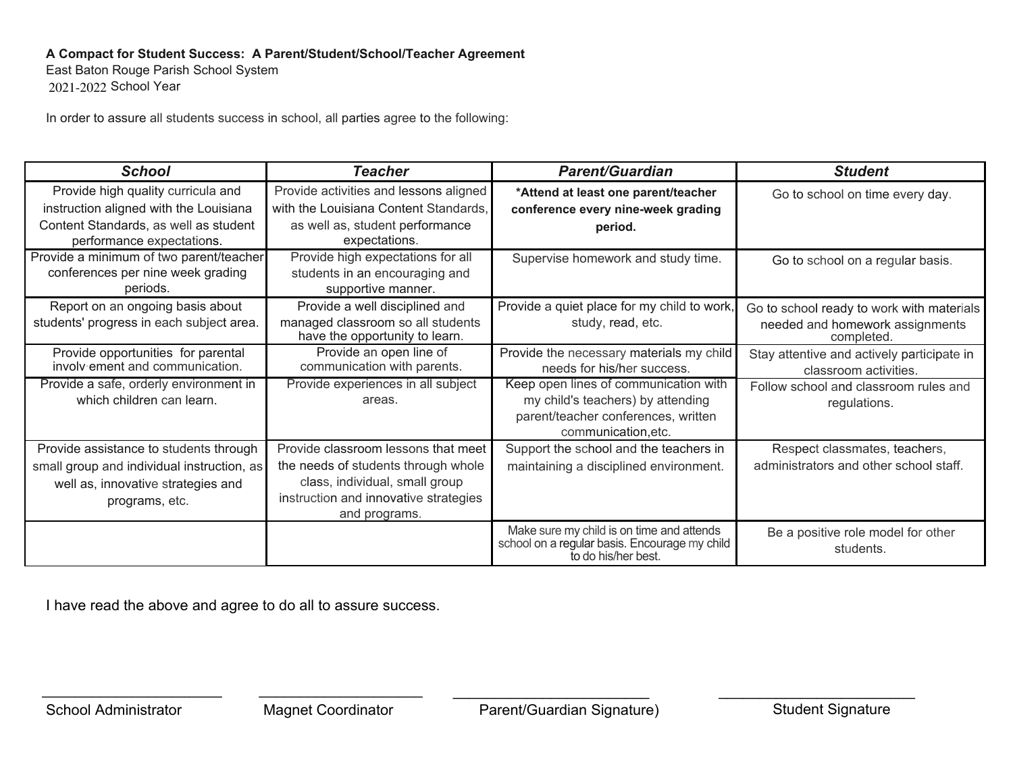## A Compact for Student Success: A Parent/Student/School/Teacher Agreement

East Baton Rouge Parish School System 2021-2022 School Year

In order to assure all students success in school, all parties agree to the following:

| <b>School</b>                                                                                                                                      | <b>Teacher</b>                                                                                                                                                         | <b>Parent/Guardian</b>                                                                                                                   | <b>Student</b>                                                                             |
|----------------------------------------------------------------------------------------------------------------------------------------------------|------------------------------------------------------------------------------------------------------------------------------------------------------------------------|------------------------------------------------------------------------------------------------------------------------------------------|--------------------------------------------------------------------------------------------|
| Provide high quality curricula and<br>instruction aligned with the Louisiana<br>Content Standards, as well as student<br>performance expectations. | Provide activities and lessons aligned<br>with the Louisiana Content Standards,<br>as well as, student performance<br>expectations.                                    | *Attend at least one parent/teacher<br>conference every nine-week grading<br>period.                                                     | Go to school on time every day.                                                            |
| Provide a minimum of two parent/teacher<br>conferences per nine week grading<br>periods.                                                           | Provide high expectations for all<br>students in an encouraging and<br>supportive manner.                                                                              | Supervise homework and study time.                                                                                                       | Go to school on a regular basis.                                                           |
| Report on an ongoing basis about<br>students' progress in each subject area.                                                                       | Provide a well disciplined and<br>managed classroom so all students<br>have the opportunity to learn.                                                                  | Provide a quiet place for my child to work,<br>study, read, etc.                                                                         | Go to school ready to work with materials<br>needed and homework assignments<br>completed. |
| Provide opportunities for parental<br>involv ement and communication.                                                                              | Provide an open line of<br>communication with parents.                                                                                                                 | Provide the necessary materials my child<br>needs for his/her success.                                                                   | Stay attentive and actively participate in<br>classroom activities.                        |
| Provide a safe, orderly environment in<br>which children can learn.                                                                                | Provide experiences in all subject<br>areas.                                                                                                                           | Keep open lines of communication with<br>my child's teachers) by attending<br>parent/teacher conferences, written<br>communication, etc. | Follow school and classroom rules and<br>regulations.                                      |
| Provide assistance to students through<br>small group and individual instruction, as<br>well as, innovative strategies and<br>programs, etc.       | Provide classroom lessons that meet<br>the needs of students through whole<br>class, individual, small group<br>instruction and innovative strategies<br>and programs. | Support the school and the teachers in<br>maintaining a disciplined environment.                                                         | Respect classmates, teachers,<br>administrators and other school staff.                    |
|                                                                                                                                                    |                                                                                                                                                                        | Make sure my child is on time and attends<br>school on a regular basis. Encourage my child<br>to do his/her best.                        | Be a positive role model for other<br>students.                                            |

I have read the above and agree to do all to assure success.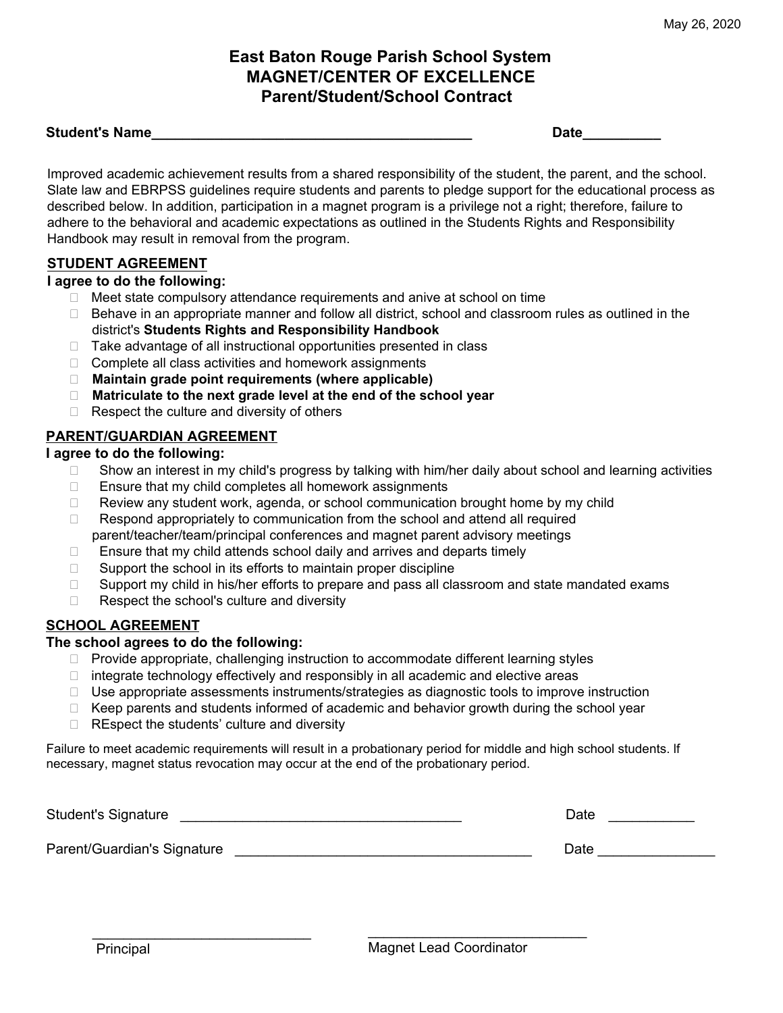# **East Baton Rouge Parish School System MAGNET/CENTER OF EXCELLENCE Parent/Student/School Contract**

## **Student's Name**

**Date** 

Improved academic achievement results from a shared responsibility of the student, the parent, and the school. Slate law and EBRPSS guidelines require students and parents to pledge support for the educational process as described below. In addition, participation in a magnet program is a privilege not a right; therefore, failure to adhere to the behavioral and academic expectations as outlined in the Students Rights and Responsibility Handbook may result in removal from the program.

## **STUDENT AGREEMENT**

## I agree to do the following:

- □ Meet state compulsory attendance requirements and anive at school on time
- □ Behave in an appropriate manner and follow all district, school and classroom rules as outlined in the district's Students Rights and Responsibility Handbook
- $\Box$  Take advantage of all instructional opportunities presented in class
- $\Box$  Complete all class activities and homework assignments
- □ Maintain grade point requirements (where applicable)
- □ Matriculate to the next grade level at the end of the school year
- $\Box$  Respect the culture and diversity of others

## **PARENT/GUARDIAN AGREEMENT**

## I agree to do the following:

- $\Box$ Show an interest in my child's progress by talking with him/her daily about school and learning activities
- Ensure that my child completes all homework assignments  $\Box$
- Review any student work, agenda, or school communication brought home by my child  $\Box$
- $\Box$ Respond appropriately to communication from the school and attend all required parent/teacher/team/principal conferences and magnet parent advisory meetings
- $\Box$ Ensure that my child attends school daily and arrives and departs timely
- $\Box$ Support the school in its efforts to maintain proper discipline
- Support my child in his/her efforts to prepare and pass all classroom and state mandated exams  $\Box$
- Respect the school's culture and diversity  $\Box$

## **SCHOOL AGREEMENT**

## The school agrees to do the following:

- $\Box$  Provide appropriate, challenging instruction to accommodate different learning styles
- □ integrate technology effectively and responsibly in all academic and elective areas
- $\Box$  Use appropriate assessments instruments/strategies as diagnostic tools to improve instruction
- $\Box$  Keep parents and students informed of academic and behavior growth during the school year
- $\Box$  REspect the students' culture and diversity

Failure to meet academic requirements will result in a probationary period for middle and high school students. If necessary, magnet status revocation may occur at the end of the probationary period.

| <b>Student's Signature</b>  | Date |  |
|-----------------------------|------|--|
| Parent/Guardian's Signature | Date |  |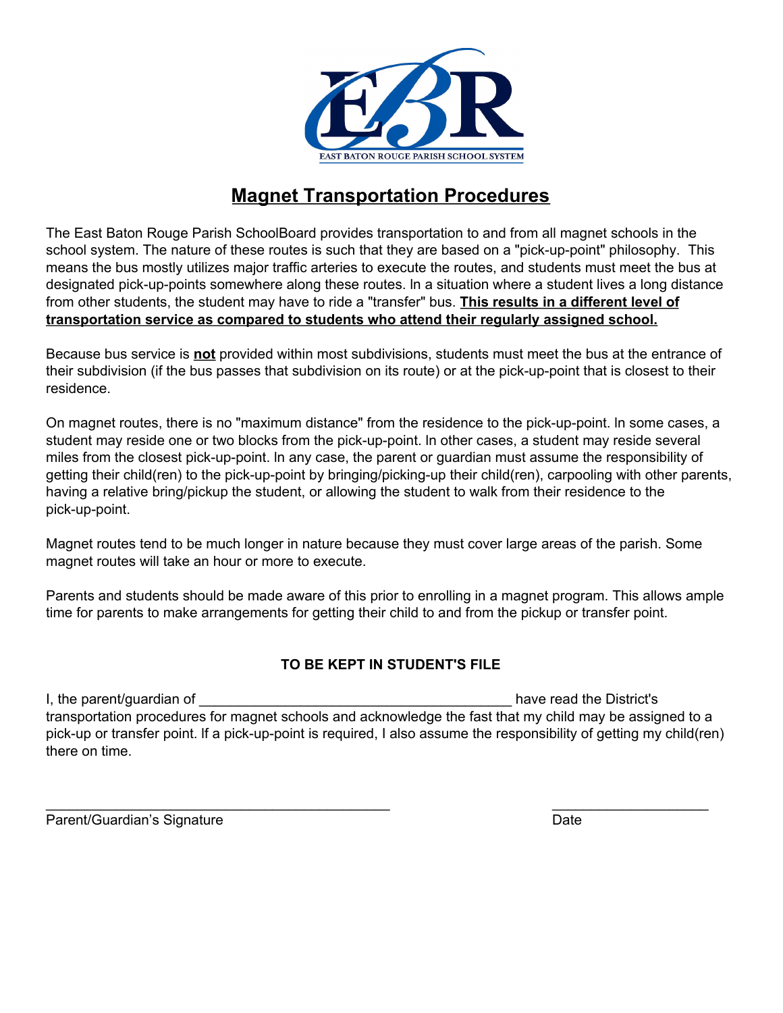

# **Magnet Transportation Procedures**

The East Baton Rouge Parish SchoolBoard provides transportation to and from all magnet schools in the school system. The nature of these routes is such that they are based on a "pick-up-point" philosophy. This means the bus mostly utilizes major traffic arteries to execute the routes, and students must meet the bus at designated pick-up-points somewhere along these routes. In a situation where a student lives a long distance from other students, the student may have to ride a "transfer" bus. This results in a different level of transportation service as compared to students who attend their regularly assigned school.

Because bus service is not provided within most subdivisions, students must meet the bus at the entrance of their subdivision (if the bus passes that subdivision on its route) or at the pick-up-point that is closest to their residence.

On magnet routes, there is no "maximum distance" from the residence to the pick-up-point. In some cases, a student may reside one or two blocks from the pick-up-point. In other cases, a student may reside several miles from the closest pick-up-point. In any case, the parent or guardian must assume the responsibility of getting their child(ren) to the pick-up-point by bringing/picking-up their child(ren), carpooling with other parents, having a relative bring/pickup the student, or allowing the student to walk from their residence to the pick-up-point.

Magnet routes tend to be much longer in nature because they must cover large areas of the parish. Some magnet routes will take an hour or more to execute.

Parents and students should be made aware of this prior to enrolling in a magnet program. This allows ample time for parents to make arrangements for getting their child to and from the pickup or transfer point.

## TO BE KEPT IN STUDENT'S FILE

I, the parent/guardian of have read the District's transportation procedures for magnet schools and acknowledge the fast that my child may be assigned to a pick-up or transfer point. If a pick-up-point is required, I also assume the responsibility of getting my child(ren) there on time.

Parent/Guardian's Signature

**Date**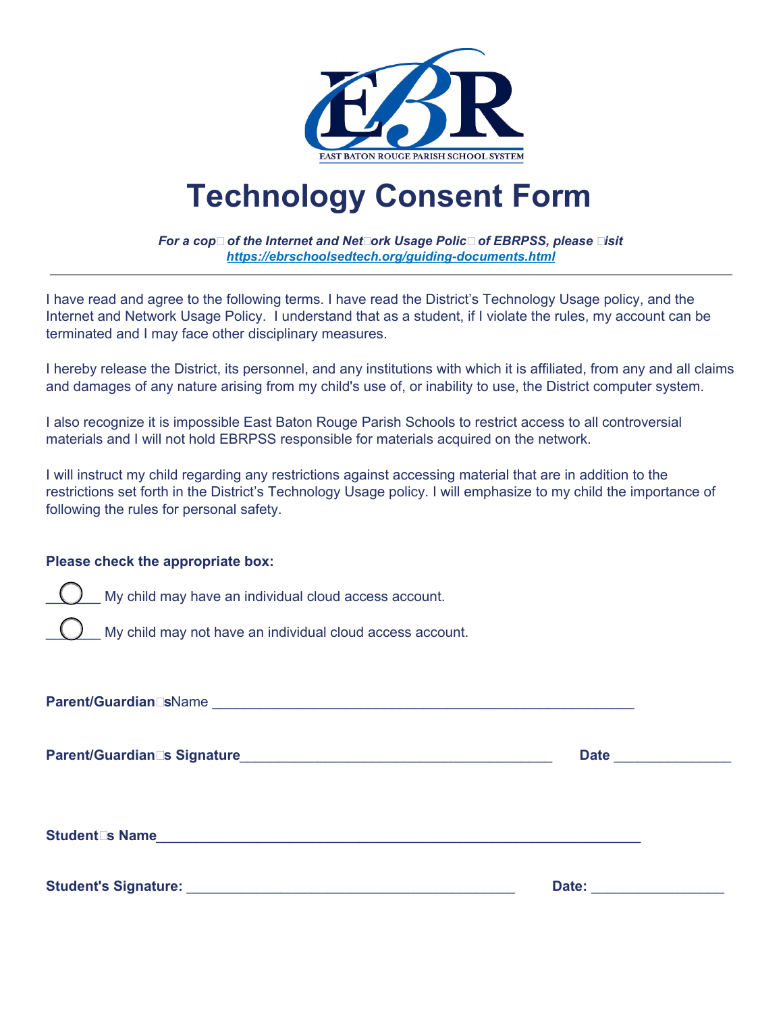

# **Technology Consent Form**

For a cop□ of the Internet and Net□ork Usage Polic□ of EBRPSS, please □isit https://ebrschoolsedtech.org/auiding-documents.html

I have read and agree to the following terms. I have read the District's Technology Usage policy, and the Internet and Network Usage Policy. I understand that as a student, if I violate the rules, my account can be terminated and I may face other disciplinary measures.

I hereby release the District, its personnel, and any institutions with which it is affiliated, from any and all claims and damages of any nature arising from my child's use of, or inability to use, the District computer system.

I also recognize it is impossible East Baton Rouge Parish Schools to restrict access to all controversial materials and I will not hold EBRPSS responsible for materials acquired on the network.

I will instruct my child regarding any restrictions against accessing material that are in addition to the restrictions set forth in the District's Technology Usage policy. I will emphasize to my child the importance of following the rules for personal safety.

## Please check the appropriate box:

My child may have an individual cloud access account.

My child may not have an individual cloud access account.

Parent/Guardian EsName et al. 2016 and 2017 and 2018 and 2018 and 2018 and 2018 and 2018 and 2018 and 2019 and

Student⊡s Name in the control of the control of the control of the control of the control of the control of the control of the control of the control of the control of the control of the control of the control of the cont

Date: the contract of the contract of the contract of the contract of the contract of the contract of the contract of the contract of the contract of the contract of the contract of the contract of the contract of the cont

**Date** *Date*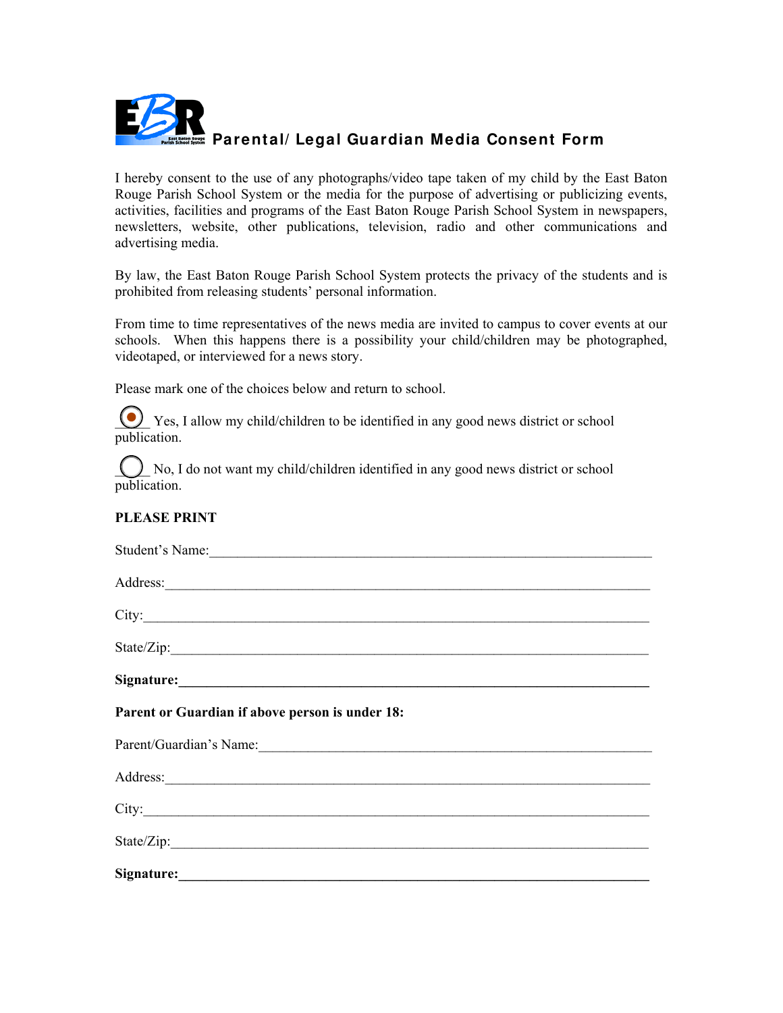

I hereby consent to the use of any photographs/video tape taken of my child by the East Baton Rouge Parish School System or the media for the purpose of advertising or publicizing events, activities, facilities and programs of the East Baton Rouge Parish School System in newspapers, newsletters, website, other publications, television, radio and other communications and advertising media.

By law, the East Baton Rouge Parish School System protects the privacy of the students and is prohibited from releasing students' personal information.

From time to time representatives of the news media are invited to campus to cover events at our schools. When this happens there is a possibility your child/children may be photographed, videotaped, or interviewed for a news story.

Please mark one of the choices below and return to school.

(C) Yes, I allow my child/children to be identified in any good news district or school publication.

No, I do not want my child/children identified in any good news district or school publication.

## **PLEASE PRINT**

| Student's Name:                                                                                                                                                                                                                      |
|--------------------------------------------------------------------------------------------------------------------------------------------------------------------------------------------------------------------------------------|
| Address: <u>and a series of the series of the series of the series of the series of the series of the series of the series of the series of the series of the series of the series of the series of the series of the series of </u> |
|                                                                                                                                                                                                                                      |
|                                                                                                                                                                                                                                      |
|                                                                                                                                                                                                                                      |
| Parent or Guardian if above person is under 18:                                                                                                                                                                                      |
| Parent/Guardian's Name:                                                                                                                                                                                                              |
| Address: and the contract of the contract of the contract of the contract of the contract of the contract of the contract of the contract of the contract of the contract of the contract of the contract of the contract of t       |
|                                                                                                                                                                                                                                      |
|                                                                                                                                                                                                                                      |
| Signature: National Communication of the Communication of the Communication of the Communication of the Communication of the Communication of the Communication of the Communication of the Communication of the Communication       |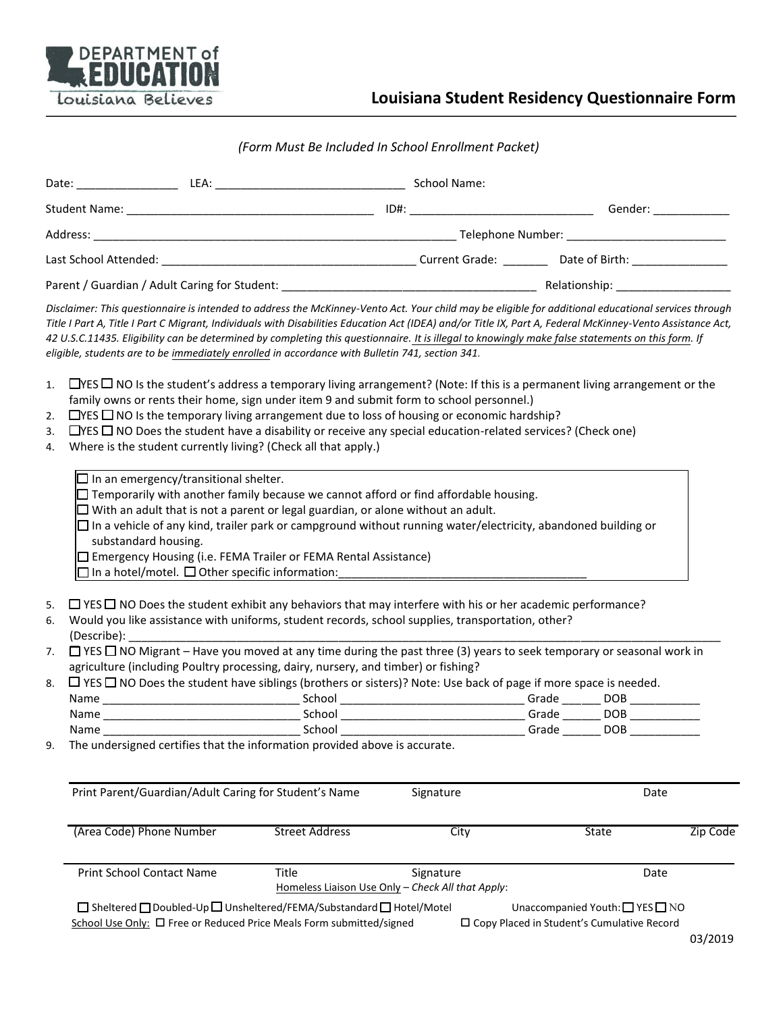

#### (Form Must Be Included In School Enrollment Packet)

|                      | Parent / Guardian / Adult Caring for Student: National Parent Control of Relationship: Nelationship:                                                                                                                                                                                                                                                                                                                                                                                                                                                                                   |                       |                                                                |       |              |          |
|----------------------|----------------------------------------------------------------------------------------------------------------------------------------------------------------------------------------------------------------------------------------------------------------------------------------------------------------------------------------------------------------------------------------------------------------------------------------------------------------------------------------------------------------------------------------------------------------------------------------|-----------------------|----------------------------------------------------------------|-------|--------------|----------|
|                      | Disclaimer: This questionnaire is intended to address the McKinney-Vento Act. Your child may be eligible for additional educational services through<br>Title I Part A, Title I Part C Migrant, Individuals with Disabilities Education Act (IDEA) and/or Title IX, Part A, Federal McKinney-Vento Assistance Act,<br>42 U.S.C.11435. Eligibility can be determined by completing this questionnaire. It is illegal to knowingly make false statements on this form. If<br>eligible, students are to be immediately enrolled in accordance with Bulletin 741, section 341.             |                       |                                                                |       |              |          |
| 1.<br>2.<br>3.<br>4. | $\Box$ YES $\Box$ NO Is the student's address a temporary living arrangement? (Note: If this is a permanent living arrangement or the<br>family owns or rents their home, sign under item 9 and submit form to school personnel.)<br>$\Box$ YES $\Box$ NO Is the temporary living arrangement due to loss of housing or economic hardship?<br>$\Box$ YES $\Box$ NO Does the student have a disability or receive any special education-related services? (Check one)<br>Where is the student currently living? (Check all that apply.)<br>$\Box$ In an emergency/transitional shelter. |                       |                                                                |       |              |          |
|                      | $\Box$ Temporarily with another family because we cannot afford or find affordable housing.<br>$\Box$ With an adult that is not a parent or legal guardian, or alone without an adult.<br>$\Box$ In a vehicle of any kind, trailer park or campground without running water/electricity, abandoned building or<br>substandard housing.<br>$\Box$ Emergency Housing (i.e. FEMA Trailer or FEMA Rental Assistance)<br>$\Box$ In a hotel/motel. $\Box$ Other specific information:                                                                                                        |                       |                                                                |       |              |          |
| 5.<br>6.             | $\Box$ YES $\Box$ NO Does the student exhibit any behaviors that may interfere with his or her academic performance?<br>Would you like assistance with uniforms, student records, school supplies, transportation, other?                                                                                                                                                                                                                                                                                                                                                              |                       |                                                                |       |              |          |
| 7.                   | $\Box$ YES $\Box$ NO Migrant – Have you moved at any time during the past three (3) years to seek temporary or seasonal work in<br>agriculture (including Poultry processing, dairy, nursery, and timber) or fishing?                                                                                                                                                                                                                                                                                                                                                                  |                       |                                                                |       |              |          |
| 8.                   | $\Box$ YES $\Box$ NO Does the student have siblings (brothers or sisters)? Note: Use back of page if more space is needed.                                                                                                                                                                                                                                                                                                                                                                                                                                                             |                       |                                                                |       |              |          |
|                      |                                                                                                                                                                                                                                                                                                                                                                                                                                                                                                                                                                                        |                       |                                                                |       |              |          |
|                      |                                                                                                                                                                                                                                                                                                                                                                                                                                                                                                                                                                                        |                       |                                                                |       |              |          |
| Name<br>9.           | The undersigned certifies that the information provided above is accurate.                                                                                                                                                                                                                                                                                                                                                                                                                                                                                                             | School                |                                                                | Grade | DOB          |          |
|                      |                                                                                                                                                                                                                                                                                                                                                                                                                                                                                                                                                                                        |                       |                                                                |       |              |          |
|                      | Print Parent/Guardian/Adult Caring for Student's Name                                                                                                                                                                                                                                                                                                                                                                                                                                                                                                                                  |                       | Signature                                                      |       | Date         |          |
|                      | (Area Code) Phone Number                                                                                                                                                                                                                                                                                                                                                                                                                                                                                                                                                               | <b>Street Address</b> | City                                                           |       | <b>State</b> | Zip Code |
|                      | Print School Contact Name                                                                                                                                                                                                                                                                                                                                                                                                                                                                                                                                                              | Title                 | Signature<br>Homeless Liaison Use Only - Check All that Apply: |       | Date         |          |

 $\Box \; \mathsf{She(\Box \; Doubled\text{-}Up\,} \Box \; \mathsf{Unsheetered} / \mathsf{EMA/Substandard} \, \Box \; \mathsf{Hotel/Motel}$ Unaccompanied Youth:  $\Box$  YES  $\Box$  NO School Use Only: 
<sup>O</sup> Free or Reduced Price Meals Form submitted/signed □ Copy Placed in Student's Cumulative Record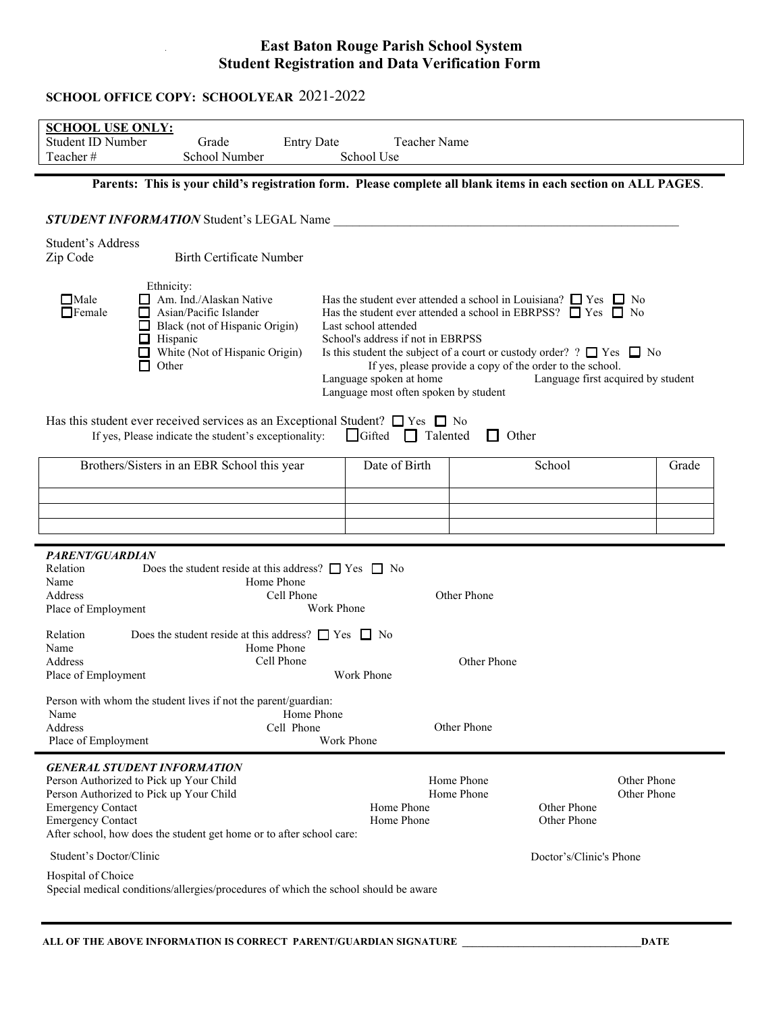## **East Baton Rouge Parish School System Student Registration and Data Verification Form**

# SCHOOL OFFICE COPY: SCHOOLYEAR 2021-2022

| <b>SCHOOL USE ONLY:</b><br><b>Student ID Number</b><br>Grade<br><b>Entry Date</b><br>School Number<br>Teacher#                                                                                                                                                                                                                                                                                                                                                                                                                                                                                                                                                                            | <b>Teacher Name</b><br>School Use |                                                        |                            |  |
|-------------------------------------------------------------------------------------------------------------------------------------------------------------------------------------------------------------------------------------------------------------------------------------------------------------------------------------------------------------------------------------------------------------------------------------------------------------------------------------------------------------------------------------------------------------------------------------------------------------------------------------------------------------------------------------------|-----------------------------------|--------------------------------------------------------|----------------------------|--|
| Parents: This is your child's registration form. Please complete all blank items in each section on ALL PAGES.                                                                                                                                                                                                                                                                                                                                                                                                                                                                                                                                                                            |                                   |                                                        |                            |  |
| <b>STUDENT INFORMATION</b> Student's LEGAL Name                                                                                                                                                                                                                                                                                                                                                                                                                                                                                                                                                                                                                                           |                                   |                                                        |                            |  |
| Student's Address<br><b>Birth Certificate Number</b><br>Zip Code                                                                                                                                                                                                                                                                                                                                                                                                                                                                                                                                                                                                                          |                                   |                                                        |                            |  |
| Ethnicity:<br>Am. Ind./Alaskan Native<br>$\Box$ Male<br>Has the student ever attended a school in Louisiana? $\Box$ Yes $\Box$ No<br>$\Box$ Female<br>$\Box$ Asian/Pacific Islander<br>Has the student ever attended a school in EBRPSS? $\Box$ Yes $\Box$ No<br>Black (not of Hispanic Origin)<br>Last school attended<br>凵<br>$\Box$ Hispanic<br>School's address if not in EBRPSS<br>White (Not of Hispanic Origin)<br>Is this student the subject of a court or custody order? ? $\Box$ Yes $\Box$ No<br>If yes, please provide a copy of the order to the school.<br>Other<br>Language first acquired by student<br>Language spoken at home<br>Language most often spoken by student |                                   |                                                        |                            |  |
| Has this student ever received services as an Exceptional Student? $\Box$ Yes $\Box$ No<br>If yes, Please indicate the student's exceptionality:<br>Gifted                                                                                                                                                                                                                                                                                                                                                                                                                                                                                                                                | Talented<br>$\Box$                | Other<br>. .                                           |                            |  |
| Brothers/Sisters in an EBR School this year                                                                                                                                                                                                                                                                                                                                                                                                                                                                                                                                                                                                                                               | Date of Birth                     | School                                                 | Grade                      |  |
|                                                                                                                                                                                                                                                                                                                                                                                                                                                                                                                                                                                                                                                                                           |                                   |                                                        |                            |  |
|                                                                                                                                                                                                                                                                                                                                                                                                                                                                                                                                                                                                                                                                                           |                                   |                                                        |                            |  |
| <b>PARENT/GUARDIAN</b><br>Does the student reside at this address? $\Box$ Yes $\Box$ No<br>Relation<br>Name<br>Home Phone<br>Other Phone<br>Address<br>Cell Phone<br>Place of Employment<br>Work Phone<br>Does the student reside at this address? $\Box$ Yes $\Box$ No<br>Relation<br>Name<br>Home Phone<br>Cell Phone<br>Other Phone<br>Address                                                                                                                                                                                                                                                                                                                                         |                                   |                                                        |                            |  |
| Place of Employment<br>Work Phone<br>Person with whom the student lives if not the parent/guardian:<br>Home Phone<br>Name<br>Other Phone<br>Address<br>Cell Phone<br>Work Phone<br>Place of Employment                                                                                                                                                                                                                                                                                                                                                                                                                                                                                    |                                   |                                                        |                            |  |
| <b>GENERAL STUDENT INFORMATION</b><br>Person Authorized to Pick up Your Child<br>Person Authorized to Pick up Your Child<br><b>Emergency Contact</b><br><b>Emergency Contact</b><br>After school, how does the student get home or to after school care:                                                                                                                                                                                                                                                                                                                                                                                                                                  | Home Phone<br>Home Phone          | Home Phone<br>Home Phone<br>Other Phone<br>Other Phone | Other Phone<br>Other Phone |  |
| Student's Doctor/Clinic                                                                                                                                                                                                                                                                                                                                                                                                                                                                                                                                                                                                                                                                   |                                   |                                                        | Doctor's/Clinic's Phone    |  |
| Hospital of Choice<br>Special medical conditions/allergies/procedures of which the school should be aware                                                                                                                                                                                                                                                                                                                                                                                                                                                                                                                                                                                 |                                   |                                                        |                            |  |